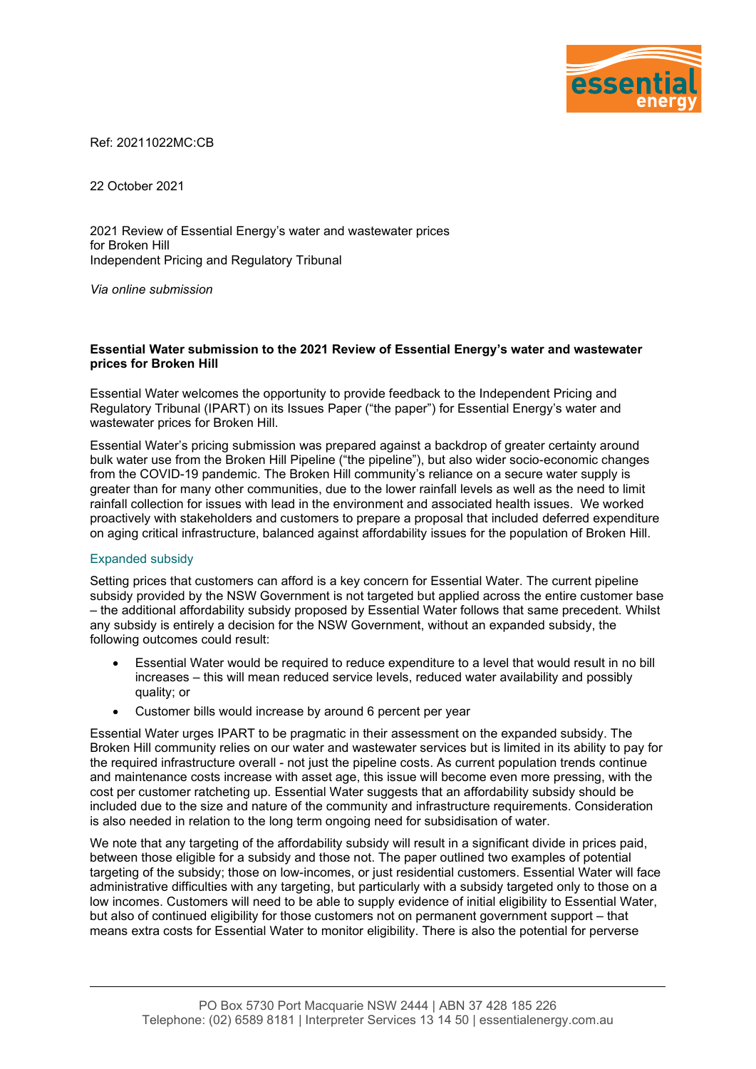

Ref: 20211022MC:CB

22 October 2021

2021 Review of Essential Energy's water and wastewater prices for Broken Hill Independent Pricing and Regulatory Tribunal

*Via online submission*

## **Essential Water submission to the 2021 Review of Essential Energy's water and wastewater prices for Broken Hill**

Essential Water welcomes the opportunity to provide feedback to the Independent Pricing and Regulatory Tribunal (IPART) on its Issues Paper ("the paper") for Essential Energy's water and wastewater prices for Broken Hill.

Essential Water's pricing submission was prepared against a backdrop of greater certainty around bulk water use from the Broken Hill Pipeline ("the pipeline"), but also wider socio-economic changes from the COVID-19 pandemic. The Broken Hill community's reliance on a secure water supply is greater than for many other communities, due to the lower rainfall levels as well as the need to limit rainfall collection for issues with lead in the environment and associated health issues. We worked proactively with stakeholders and customers to prepare a proposal that included deferred expenditure on aging critical infrastructure, balanced against affordability issues for the population of Broken Hill.

## Expanded subsidy

Setting prices that customers can afford is a key concern for Essential Water. The current pipeline subsidy provided by the NSW Government is not targeted but applied across the entire customer base – the additional affordability subsidy proposed by Essential Water follows that same precedent. Whilst any subsidy is entirely a decision for the NSW Government, without an expanded subsidy, the following outcomes could result:

- Essential Water would be required to reduce expenditure to a level that would result in no bill increases – this will mean reduced service levels, reduced water availability and possibly quality; or
- Customer bills would increase by around 6 percent per year

Essential Water urges IPART to be pragmatic in their assessment on the expanded subsidy. The Broken Hill community relies on our water and wastewater services but is limited in its ability to pay for the required infrastructure overall - not just the pipeline costs. As current population trends continue and maintenance costs increase with asset age, this issue will become even more pressing, with the cost per customer ratcheting up. Essential Water suggests that an affordability subsidy should be included due to the size and nature of the community and infrastructure requirements. Consideration is also needed in relation to the long term ongoing need for subsidisation of water.

We note that any targeting of the affordability subsidy will result in a significant divide in prices paid, between those eligible for a subsidy and those not. The paper outlined two examples of potential targeting of the subsidy; those on low-incomes, or just residential customers. Essential Water will face administrative difficulties with any targeting, but particularly with a subsidy targeted only to those on a low incomes. Customers will need to be able to supply evidence of initial eligibility to Essential Water, but also of continued eligibility for those customers not on permanent government support – that means extra costs for Essential Water to monitor eligibility. There is also the potential for perverse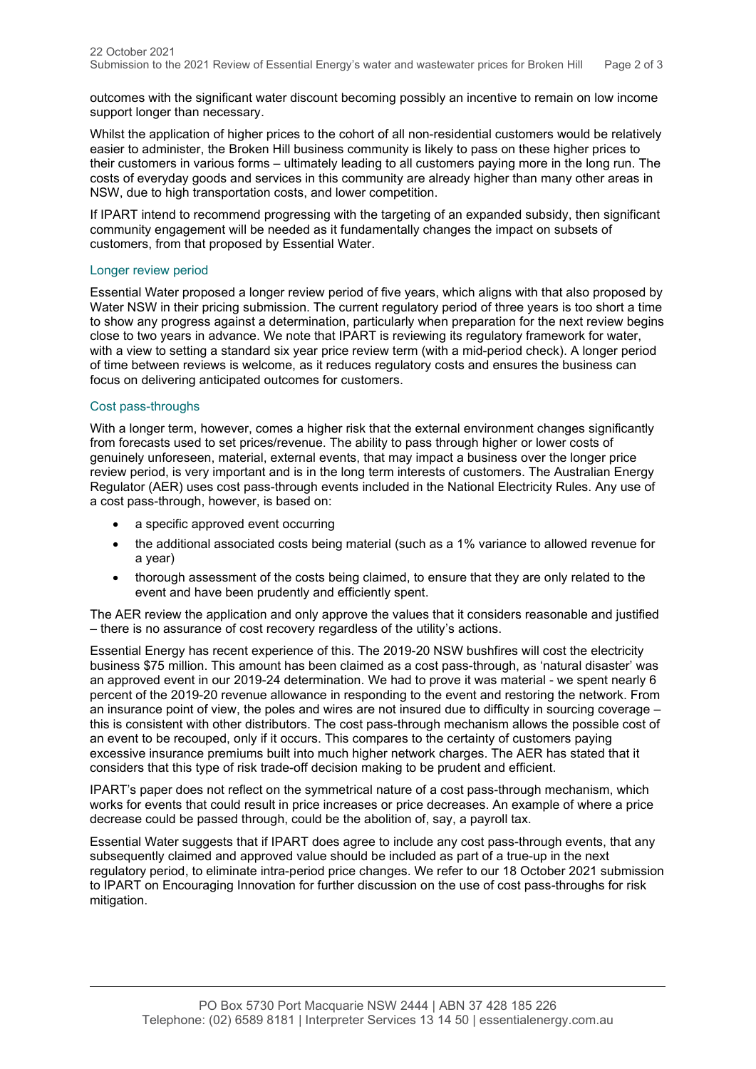outcomes with the significant water discount becoming possibly an incentive to remain on low income support longer than necessary.

Whilst the application of higher prices to the cohort of all non-residential customers would be relatively easier to administer, the Broken Hill business community is likely to pass on these higher prices to their customers in various forms – ultimately leading to all customers paying more in the long run. The costs of everyday goods and services in this community are already higher than many other areas in NSW, due to high transportation costs, and lower competition.

If IPART intend to recommend progressing with the targeting of an expanded subsidy, then significant community engagement will be needed as it fundamentally changes the impact on subsets of customers, from that proposed by Essential Water.

## Longer review period

Essential Water proposed a longer review period of five years, which aligns with that also proposed by Water NSW in their pricing submission. The current regulatory period of three years is too short a time to show any progress against a determination, particularly when preparation for the next review begins close to two years in advance. We note that IPART is reviewing its regulatory framework for water, with a view to setting a standard six year price review term (with a mid-period check). A longer period of time between reviews is welcome, as it reduces regulatory costs and ensures the business can focus on delivering anticipated outcomes for customers.

## Cost pass-throughs

With a longer term, however, comes a higher risk that the external environment changes significantly from forecasts used to set prices/revenue. The ability to pass through higher or lower costs of genuinely unforeseen, material, external events, that may impact a business over the longer price review period, is very important and is in the long term interests of customers. The Australian Energy Regulator (AER) uses cost pass-through events included in the National Electricity Rules. Any use of a cost pass-through, however, is based on:

- a specific approved event occurring
- the additional associated costs being material (such as a 1% variance to allowed revenue for a year)
- thorough assessment of the costs being claimed, to ensure that they are only related to the event and have been prudently and efficiently spent.

The AER review the application and only approve the values that it considers reasonable and justified – there is no assurance of cost recovery regardless of the utility's actions.

Essential Energy has recent experience of this. The 2019-20 NSW bushfires will cost the electricity business \$75 million. This amount has been claimed as a cost pass-through, as 'natural disaster' was an approved event in our 2019-24 determination. We had to prove it was material - we spent nearly 6 percent of the 2019-20 revenue allowance in responding to the event and restoring the network. From an insurance point of view, the poles and wires are not insured due to difficulty in sourcing coverage this is consistent with other distributors. The cost pass-through mechanism allows the possible cost of an event to be recouped, only if it occurs. This compares to the certainty of customers paying excessive insurance premiums built into much higher network charges. The AER has stated that it considers that this type of risk trade-off decision making to be prudent and efficient.

IPART's paper does not reflect on the symmetrical nature of a cost pass-through mechanism, which works for events that could result in price increases or price decreases. An example of where a price decrease could be passed through, could be the abolition of, say, a payroll tax.

Essential Water suggests that if IPART does agree to include any cost pass-through events, that any subsequently claimed and approved value should be included as part of a true-up in the next regulatory period, to eliminate intra-period price changes. We refer to our 18 October 2021 submission to IPART on Encouraging Innovation for further discussion on the use of cost pass-throughs for risk mitigation.